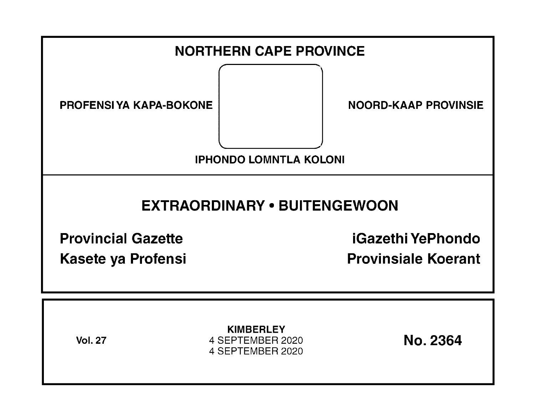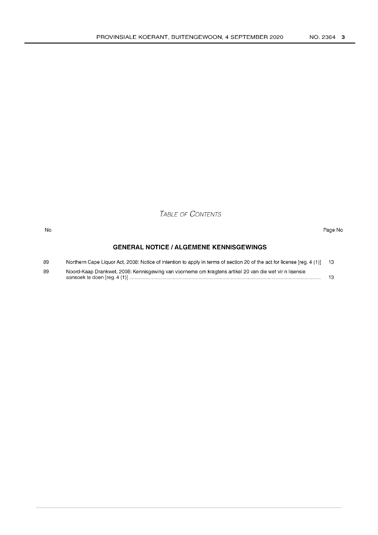TABLE OF CONTENTS

#### No Page No

# **GENERAL NOTICE I ALGEMENE KENNISGEWINGS**

| 89 | Northern Cape Liquor Act, 2008: Notice of intention to apply in terms of section 20 of the act for license [reg. 4 (1)] 13 |  |
|----|----------------------------------------------------------------------------------------------------------------------------|--|
| 89 | Noord-Kaap Drankwet, 2008: Kennisgewing van voorneme om kragtens artikel 20 van die wet vir n lisensie                     |  |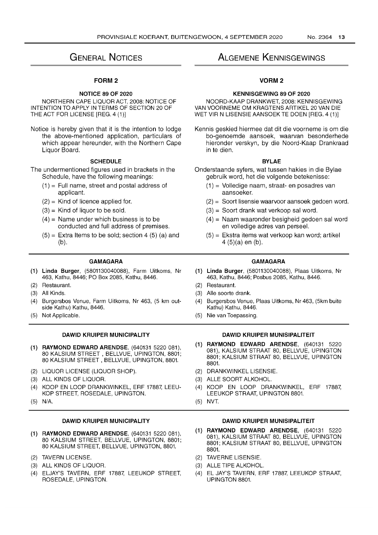# GENERAL NOTICES

# FORM 2

# NOTICE 89 OF 2020

NORTHERN CAPE LIQUOR ACT, 2008: NOTICE OF INTENTION TO APPLY IN TERMS OF SECTION 20 OF THE ACT FOR LICENSE [REG. 4 (1)]

Notice is hereby given that it is the intention to lodge the above-mentioned application, particulars of which appear hereunder, with the Northern Cape Liquor Board.

# **SCHEDULE**

The undermentioned figures used in brackets in the Schedule, have the following meanings:

- $(1)$  = Full name, street and postal address of applicant.
- $(2)$  = Kind of licence applied for.
- $(3)$  = Kind of liquor to be sold.
- $(4)$  = Name under which business is to be conducted and full address of premises.
- $(5)$  = Extra Items to be sold; section 4 (5) (a) and (b).

# GAMAGARA

- (1) Linda Burger, (5801130040088), Farm Uitkoms, Nr 463, Kathu, 8446; PO Box 2085, Kathu, 8446.
- (2) Restaurant.
- (3) All Kinds.
- (4) Burgersbos Venue, Farm Uitkoms, Nr 463, (5 km outside Kathu) Kathu, 8446.
- (5) Not Applicable.

# DAWID KRUIPER MUNICIPALITY

- (1) RAYMOND EDWARD ARENDSE, (640131 5220081), 80 KALSIUM STREET, BELLVUE, UPINGTON, 8801; 80 KALSIUM STREET, BELLVUE, UPINGTON, 8801.
- (2) LIQUOR LICENSE (LIQUOR SHOP).
- (3) ALL KINDS OF LIQUOR.
- (4) KOOP EN LOOP DRANKWINKEL, ERF 17887, LEEU-KOP STREET, ROSEDALE, UPINGTON.
- (5) N/A.

# DAWID KRUIPER MUNICIPALITY

- (1) RAYMOND EDWARD ARENDSE, (640131 5220 081), 80 KALSIUM STREET, BELLVUE, UPINGTON, 8801; 80 KALSIUM STREET, BELLVUE, UPINGTON, 8801.
- (2) TAVERN LICENSE.
- (3) ALL KINDS OF LIQUOR.
- (4) ELJAY'S TAVERN, ERF 17887, LEEUKOP STREET, ROSEDALE, UPINGTON.

# ALGEMENE KENNISGEWINGS

# VORM2

## KENNISGEWING 89 OF 2020

NOORD-KAAP DRANKWET, 2008: KENNISGEWING VAN VOORNEME OM KRAGTENS ARTIKEL 20 VAN DIE WET VIR N LISENSIE AANSOEK TE DOEN [REG. 4 (1)]

Kennis geskied hiermee dat dit die voorneme is om die bo-genoemde aansoek, waarvan besonderhede hieronder verskyn, by die Noord-Kaap Drankraad in te dien.

## BYLAE

- Onderstaande syfers, wat tussen hakies in die Bylae gebruik word, het die volgende betekenisse:
	- (1) = Volledige naam, straat- en posadres van aansoeker.
	- (2) = Soort lisensie waarvoor aansoek gedoen word.
	- (3) = Soort drank wat verkoop sal word.
	- (4) = Naam waaronder besigheid gedoen sal word en volledige adres van perseel.
	- (5) = Ekstra items wat verkoop kan word; artikel 4 (5)(a) en (b).

## GAMAGARA

- (1) Linda Burger, (5801130040088), Plaas Uitkoms, Nr 463, Kathu, 8446; Posbus 2085, Kathu, 8446.
- (2) Restaurant.
- (3) Aile soorte drank.
- (4) Burgersbos Venue, Plaas Uitkoms, Nr 463, (5km buite Kathu) Kathu, 8446.
- (5) Nie van Toepassing.

# DAWID KRUIPER MUNISIPALITEIT

- (1) RAYMOND EDWARD ARENDSE, (640131 5220 081), KALSIUM STRAAT 80, BELLVUE, UPINGTON 8801; KALSIUM STRAAT 80, BELLVUE, UPINGTON 8801.
- (2) DRANKWINKEL LlSENSIE.
- (3) ALLE SOORT ALKOHOL.
- KOOP EN LOOP DRANKWINKEL, ERF 17887. LEEUKOP STRAAT, UPINGTON 8801.
- (5) NVT.

## DAWID KRUIPER MUNISIPALITEIT

- (1) RAYMOND EDWARD ARENDSE, (640131 5220 081), KALSIUM STRAAT 80, BELLVUE, UPINGTON 8801; KALSIUM STRAAT 80, BELLVUE, UPINGTON 8801.
- (2) TAVERNE LlSENSIE.
- (3) ALLE TIPE ALKOHOL.
- (4) EL JAY'S TAVERN, ERF 17887, LEEUKOP STRAAT, UPINGTON 8801.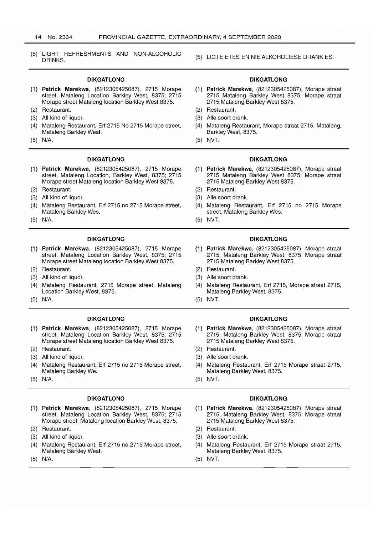(5) LIGHT REFRESHMENTS AND NON-ALCOHOLIC DRINKS.

#### **DIKGATLONG**

- (1) **Patrick Marekwa,** (8212305425087), 2715 Morape street, Mataleng Location Barkley West, 8375; 2715 Morape street Mataleng location Barkley West 8375.
- (2) Restaurant.
- (3) All kind of liquor.
- (4) Mataleng Restaurant, Erf 2715 No 2715 Morape street, Mataleng Barkley West.
- (5) N/A.

#### **DIKGATLONG**

- **(1) Patrick Marekwa,** (8212305425087), 2715 Morape street, Mataleng Location, Barkley West, 8375; 2715 Morape street Mataleng location Barkley West 8375.
- (2) Restaurant.
- (3) All kind of liquor.
- (4) Mataleng Restaurant, Erf 2715 no 2715 Morape street, Mataleng Barkley Wes.
- (5) N/A.

## **DIKGATLONG**

- **(1) Patrick Marekwa,** (8212305425087), 2715 Morape street, Mataleng Location Barkley West, 8375; 2715 Morape street Mataleng location Barkley West 8375.
- (2) Restaurant.
- (3) All kind of liquor.
- (4) Mataleng Restaurant, 2715 Morape street, Mataleng Location Barkley West, 8375.
- (5) N/A.

#### **DIKGATLONG**

- (1) **Patrick Marekwa,** (8212305425087), 2715 Morape street, Mataleng Location Barkley West, 8375; 2715 Morape street Mataleng location Barkley West 8375.
- (2) Restaurant.
- (3) All kind of liquor.
- (4) Mataleng Restaurant, Erf 2715 no 2715 Morape street, Mataleng Barkley We.
- (5) N/A.

#### **DIKGATLONG**

- (1) **Patrick Marekwa,** (8212305425087), 2715 Morape street, Mataleng Location Barkley West, 8375; 2715 Morape street, Mataleng location Barkley West, 8375.
- (2) Restaurant.
- (3) All kind of liquor.
- Mataleng Restaurant, Erf 2715 no 2715 Morape street, Mataleng Barkley West.
- (5) N/A.

#### (5) LlGTE ETES EN NIE ALKOHOLIESE DRANKIES.

## **DIKGATLONG**

- **(1) Patrick Marekwa,** (8212305425087), Morape straat 2715 Mataleng Barkley West 8375; Morape straat 2715 Mataleng Barkley West 8375.
- (2) Restaurant.
- (3) Aile soort drank.
- (4) Mataleng Restaurant, Morape straat 2715, Mataleng, Barkley West, 8375.
- (5) NVT.

#### **DIKGATLONG**

- **(1) Patrick Marekwa,** (8212305425087), Morape straat 2715 Mataleng Barkley West 8375; Morape straat 2715 Mataleng Barkley West 8375.
- (2) Restaurant.
- (3) Aile soort drank.
- (4) Mataleng Restaurant, Erf 2715 no 2715 Morape street, Mataleng Barkley Wes.
- (5) NVT.

#### **DIKGATLONG**

- **(1) Patrick Marekwa,** (8212305425087), Morape straat 2715, Mataleng Barkley West, 8375; Morape straat 2715 Mataleng Barkley West 8375.
- (2) Restaurant.
- (3) Aile soort drank.
- (4) Mataleng Restaurant, Erf 2715, Morape straat 2715, Mataleng Barkley West, 8375.
- (5) NVT.

#### **DIKGATLONG**

- **(1) Patrick Marekwa,** (8212305425087), Morape straat 2715, Mataleng Barkley West, 8375; Morape straat 2715 Mataleng Barkley West 8375.
- (2) Restaurant.
- (3) Aile soort drank.
- (4) Mataleng Restaurant, Erf 2715 Morape straat 2715, Mataleng Barkley West, 8375.
- (5) NVT.

#### **DIKGATLONG**

- **(1) Patrick Marekwa,** (8212305425087), Morape straat 2715, Mataleng Barkley West, 8375; Morape straat 2715 Mataleng Barkley West 8375.
- (2) Restaurant.
- (3) Aile soort drank.
- (4) Mataleng Restaurant, Erf 2715 Morape straat 2715, Mataleng Barkley West, 8375.
- (5) NVT.